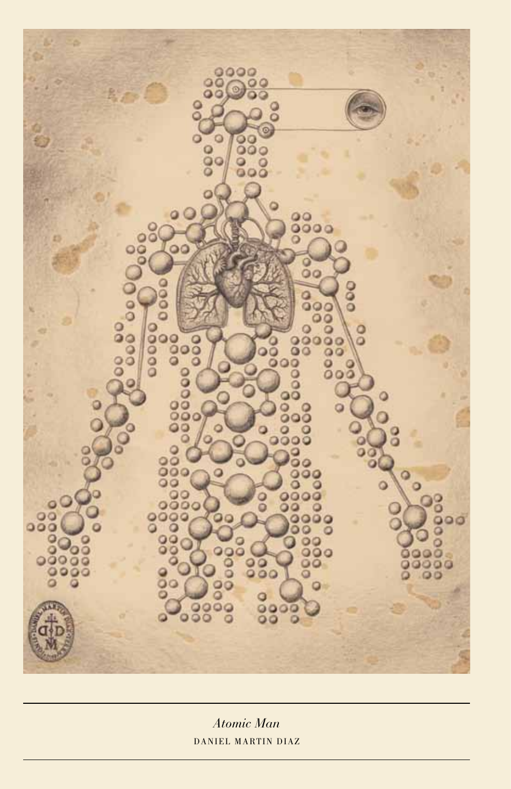

*Atomic Man* DANIEL MARTIN DIAZ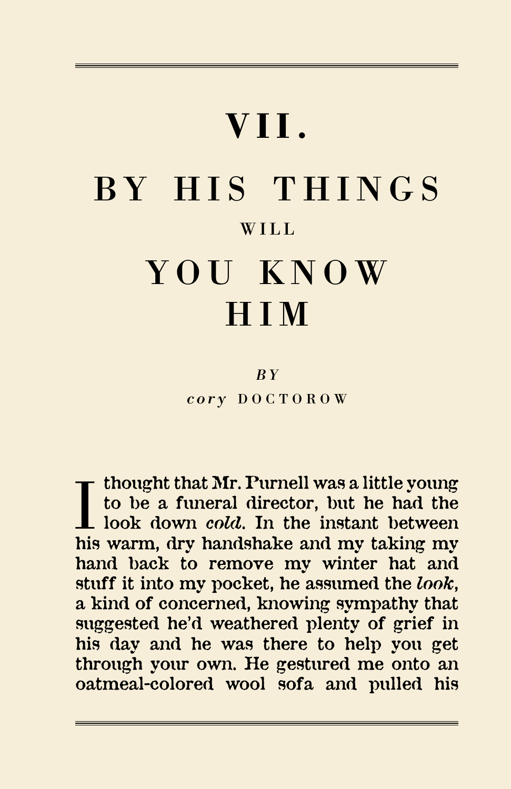## **VII.**

## BY HIS THINGS WILL YOU KNOW HIM

## *B Y cory* DOCTOROW

I thought that Mr. Purnell was a little young<br>to be a funeral director, but he had the<br>look down *cold*. In the instant between<br>his worm, dry handshake and my taking my to be a funeral director, but he had the look down *cold*. In the instant between his warm, dry handshake and my taking my hand back to remove my winter hat and stuff it into my pocket, he assumed the *look*, a kind of concerned, knowing sympathy that suggested he'd weathered plenty of grief in his day and he was there to help you get through your own. He gestured me onto an oatmeal-colored wool sofa and pulled his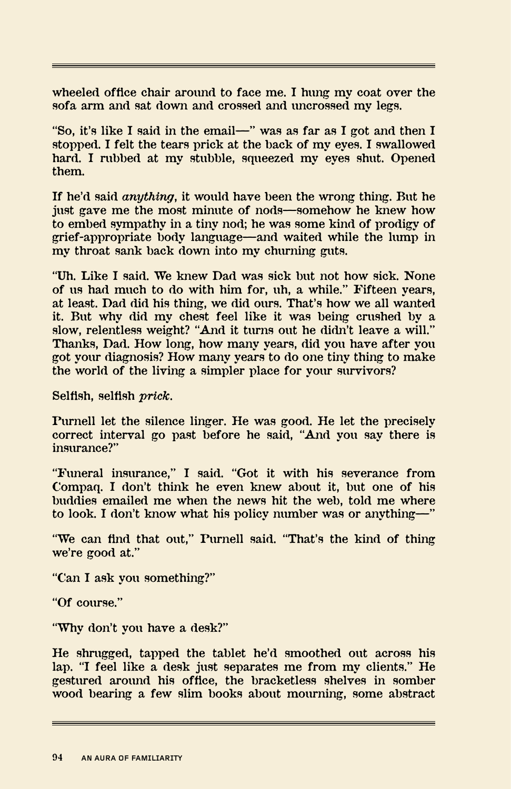wheeled office chair around to face me. I hung my coat over the sofa arm and sat down and crossed and uncrossed my legs.

"So, it's like I said in the email—" was as far as I got and then I stopped. I felt the tears prick at the back of my eyes. I swallowed hard. I rubbed at my stubble, squeezed my eyes shut. Opened them.

If he'd said *anything*, it would have been the wrong thing. But he just gave me the most minute of nods—somehow he knew how to embed sympathy in a tiny nod; he was some kind of prodigy of grief-appropriate body language—and waited while the lump in my throat sank back down into my churning guts.

"Uh. Like I said. We knew Dad was sick but not how sick. None of us had much to do with him for, uh, a while." Fifteen years, at least. Dad did his thing, we did ours. That's how we all wanted it. But why did my chest feel like it was being crushed by a slow, relentless weight? "And it turns out he didn't leave a will." Thanks, Dad. How long, how many years, did you have after you got your diagnosis? How many years to do one tiny thing to make the world of the living a simpler place for your survivors?

Selfish, selfish *prick*.

Purnell let the silence linger. He was good. He let the precisely correct interval go past before he said, "And you say there is insurance?"

"Funeral insurance," I said. "Got it with his severance from Compaq. I don't think he even knew about it, but one of his buddies emailed me when the news hit the web, told me where to look. I don't know what his policy number was or anything—"

"We can find that out," Purnell said. "That's the kind of thing we're good at."

"Can I ask you something?"

"Of course."

"Why don't you have a desk?"

He shrugged, tapped the tablet he'd smoothed out across his lap. "I feel like a desk just separates me from my clients." He gestured around his office, the bracketless shelves in somber wood bearing a few slim books about mourning, some abstract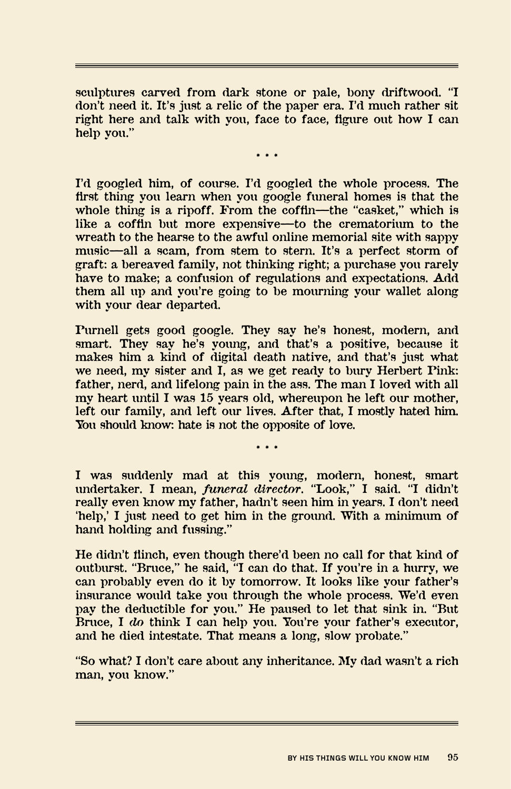sculptures carved from dark stone or pale, bony driftwood. "I don't need it. It's just a relic of the paper era. I'd much rather sit right here and talk with you, face to face, figure out how I can help you."

\* \* \*

I'd googled him, of course. I'd googled the whole process. The first thing you learn when you google funeral homes is that the whole thing is a ripoff. From the coffin—the "casket," which is like a coffin but more expensive—to the crematorium to the wreath to the hearse to the awful online memorial site with sappy music—all a scam, from stem to stern. It's a perfect storm of graft: a bereaved family, not thinking right; a purchase you rarely have to make; a confusion of regulations and expectations. Add them all up and you're going to be mourning your wallet along with your dear departed.

Purnell gets good google. They say he's honest, modern, and smart. They say he's young, and that's a positive, because it makes him a kind of digital death native, and that's just what we need, my sister and I, as we get ready to bury Herbert Pink: father, nerd, and lifelong pain in the ass. The man I loved with all my heart until I was 15 years old, whereupon he left our mother, left our family, and left our lives. After that, I mostly hated him. You should know: hate is not the opposite of love.

\* \* \*

I was suddenly mad at this young, modern, honest, smart undertaker. I mean, *funeral director*. "Look," I said. "I didn't really even know my father, hadn't seen him in years. I don't need 'help,' I just need to get him in the ground. With a minimum of hand holding and fussing."

He didn't flinch, even though there'd been no call for that kind of outburst. "Bruce," he said, "I can do that. If you're in a hurry, we can probably even do it by tomorrow. It looks like your father's insurance would take you through the whole process. We'd even pay the deductible for you." He paused to let that sink in. "But Bruce, I *do* think I can help you. You're your father's executor, and he died intestate. That means a long, slow probate."

"So what? I don't care about any inheritance. My dad wasn't a rich man, you know."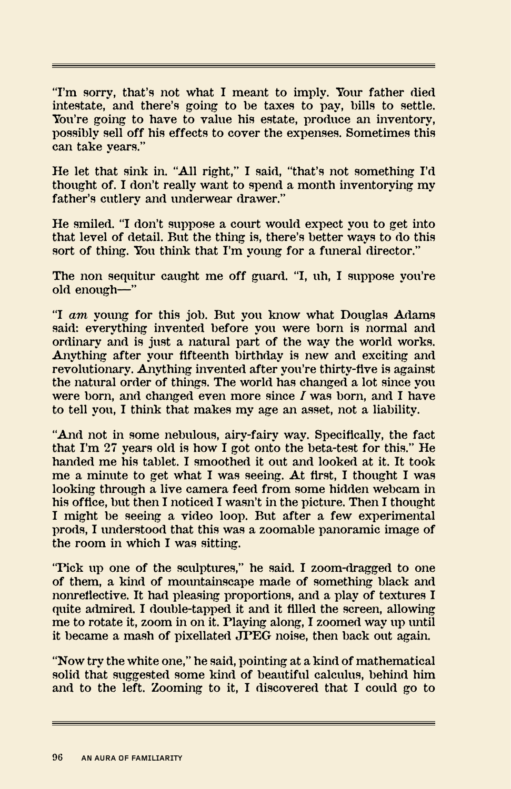"I'm sorry, that's not what I meant to imply. Your father died intestate, and there's going to be taxes to pay, bills to settle. You're going to have to value his estate, produce an inventory, possibly sell off his effects to cover the expenses. Sometimes this can take years."

He let that sink in. "All right," I said, "that's not something I'd thought of. I don't really want to spend a month inventorying my father's cutlery and underwear drawer."

He smiled. "I don't suppose a court would expect you to get into that level of detail. But the thing is, there's better ways to do this sort of thing. You think that I'm young for a funeral director."

The non sequitur caught me off guard. "I, uh, I suppose you're old enough—"

"I *am* young for this job. But you know what Douglas Adams said: everything invented before you were born is normal and ordinary and is just a natural part of the way the world works. Anything after your fifteenth birthday is new and exciting and revolutionary. Anything invented after you're thirty-five is against the natural order of things. The world has changed a lot since you were born, and changed even more since *I* was born, and I have to tell you, I think that makes my age an asset, not a liability.

"And not in some nebulous, airy-fairy way. Specifically, the fact that I'm 27 years old is how I got onto the beta-test for this." He handed me his tablet. I smoothed it out and looked at it. It took me a minute to get what I was seeing. At first, I thought I was looking through a live camera feed from some hidden webcam in his office, but then I noticed I wasn't in the picture. Then I thought I might be seeing a video loop. But after a few experimental prods, I understood that this was a zoomable panoramic image of the room in which I was sitting.

"Pick up one of the sculptures," he said. I zoom-dragged to one of them, a kind of mountainscape made of something black and nonreflective. It had pleasing proportions, and a play of textures I quite admired. I double-tapped it and it filled the screen, allowing me to rotate it, zoom in on it. Playing along, I zoomed way up until it became a mash of pixellated JPEG noise, then back out again.

"Now try the white one," he said, pointing at a kind of mathematical solid that suggested some kind of beautiful calculus, behind him and to the left. Zooming to it, I discovered that I could go to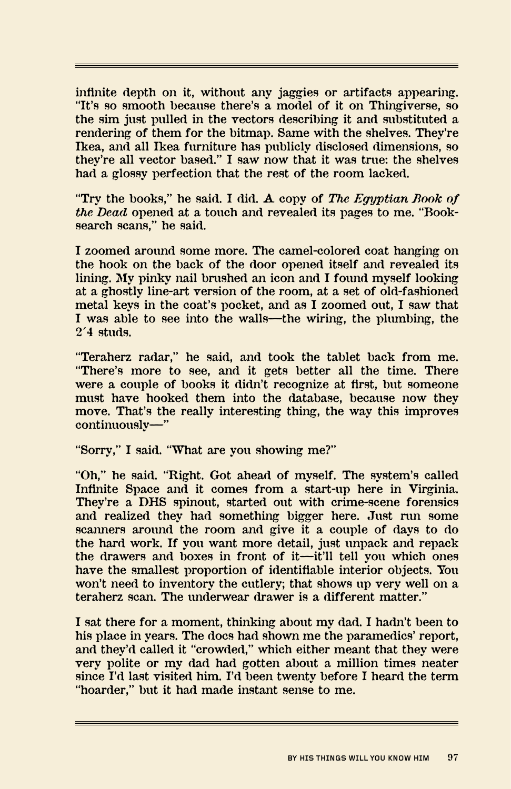infinite depth on it, without any jaggies or artifacts appearing. "It's so smooth because there's a model of it on Thingiverse, so the sim just pulled in the vectors describing it and substituted a rendering of them for the bitmap. Same with the shelves. They're Ikea, and all Ikea furniture has publicly disclosed dimensions, so they're all vector based." I saw now that it was true: the shelves had a glossy perfection that the rest of the room lacked.

"Try the books," he said. I did. A copy of *The Egyptian Book of the Dead* opened at a touch and revealed its pages to me. "Booksearch scans," he said.

I zoomed around some more. The camel-colored coat hanging on the hook on the back of the door opened itself and revealed its lining. My pinky nail brushed an icon and I found myself looking at a ghostly line-art version of the room, at a set of old-fashioned metal keys in the coat's pocket, and as I zoomed out, I saw that I was able to see into the walls—the wiring, the plumbing, the 2´4 studs.

"Teraherz radar," he said, and took the tablet back from me. "There's more to see, and it gets better all the time. There were a couple of books it didn't recognize at first, but someone must have hooked them into the database, because now they move. That's the really interesting thing, the way this improves continuously—"

"Sorry," I said. "What are you showing me?"

"Oh," he said. "Right. Got ahead of myself. The system's called Infinite Space and it comes from a start-up here in Virginia. They're a DHS spinout, started out with crime-scene forensics and realized they had something bigger here. Just run some scanners around the room and give it a couple of days to do the hard work. If you want more detail, just unpack and repack the drawers and boxes in front of it—it'll tell you which ones have the smallest proportion of identifiable interior objects. You won't need to inventory the cutlery; that shows up very well on a teraherz scan. The underwear drawer is a different matter."

I sat there for a moment, thinking about my dad. I hadn't been to his place in years. The docs had shown me the paramedics' report, and they'd called it "crowded," which either meant that they were very polite or my dad had gotten about a million times neater since I'd last visited him. I'd been twenty before I heard the term "hoarder," but it had made instant sense to me.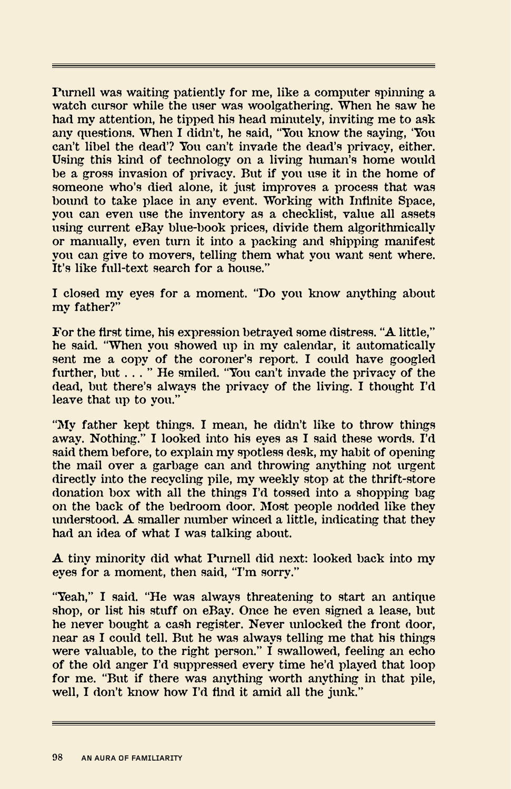Purnell was waiting patiently for me, like a computer spinning a watch cursor while the user was woolgathering. When he saw he had my attention, he tipped his head minutely, inviting me to ask any questions. When I didn't, he said, "You know the saying, 'You can't libel the dead'? You can't invade the dead's privacy, either. Using this kind of technology on a living human's home would be a gross invasion of privacy. But if you use it in the home of someone who's died alone, it just improves a process that was bound to take place in any event. Working with Infinite Space, you can even use the inventory as a checklist, value all assets using current eBay blue-book prices, divide them algorithmically or manually, even turn it into a packing and shipping manifest you can give to movers, telling them what you want sent where. It's like full-text search for a house."

I closed my eyes for a moment. "Do you know anything about my father?"

For the first time, his expression betrayed some distress. "A little," he said. "When you showed up in my calendar, it automatically sent me a copy of the coroner's report. I could have googled further, but . . . " He smiled. "You can't invade the privacy of the dead, but there's always the privacy of the living. I thought I'd leave that up to you."

"My father kept things. I mean, he didn't like to throw things away. Nothing." I looked into his eyes as I said these words. I'd said them before, to explain my spotless desk, my habit of opening the mail over a garbage can and throwing anything not urgent directly into the recycling pile, my weekly stop at the thrift-store donation box with all the things I'd tossed into a shopping bag on the back of the bedroom door. Most people nodded like they understood. A smaller number winced a little, indicating that they had an idea of what I was talking about.

A tiny minority did what Purnell did next: looked back into my eyes for a moment, then said, "I'm sorry."

"Yeah," I said. "He was always threatening to start an antique shop, or list his stuff on eBay. Once he even signed a lease, but he never bought a cash register. Never unlocked the front door, near as I could tell. But he was always telling me that his things were valuable, to the right person." I swallowed, feeling an echo of the old anger I'd suppressed every time he'd played that loop for me. "But if there was anything worth anything in that pile, well, I don't know how I'd find it amid all the junk."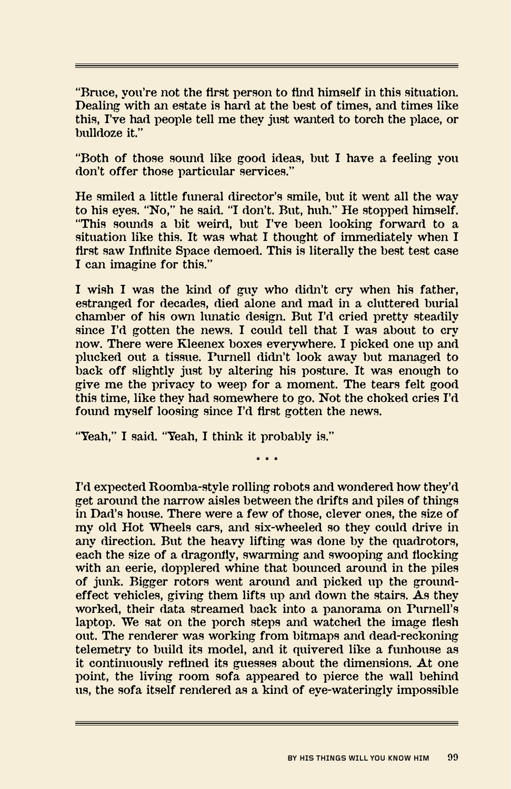"Bruce, you're not the first person to find himself in this situation. Dealing with an estate is hard at the best of times, and times like this, I've had people tell me they just wanted to torch the place, or bulldoze it."

"Both of those sound like good ideas, but I have a feeling you don't offer those particular services."

He smiled a little funeral director's smile, but it went all the way to his eyes. "No," he said. "I don't. But, huh." He stopped himself. "This sounds a bit weird, but I've been looking forward to a situation like this. It was what I thought of immediately when I first saw Infinite Space demoed. This is literally the best test case I can imagine for this."

I wish I was the kind of guy who didn't cry when his father, estranged for decades, died alone and mad in a cluttered burial chamber of his own lunatic design. But I'd cried pretty steadily since I'd gotten the news. I could tell that I was about to cry now. There were Kleenex boxes everywhere. I picked one up and plucked out a tissue. Purnell didn't look away but managed to back off slightly just by altering his posture. It was enough to give me the privacy to weep for a moment. The tears felt good this time, like they had somewhere to go. Not the choked cries I'd found myself loosing since I'd first gotten the news.

\* \* \*

"Yeah," I said. "Yeah, I think it probably is."

I'd expected Roomba-style rolling robots and wondered how they'd get around the narrow aisles between the drifts and piles of things in Dad's house. There were a few of those, clever ones, the size of my old Hot Wheels cars, and six-wheeled so they could drive in any direction. But the heavy lifting was done by the quadrotors, each the size of a dragonfly, swarming and swooping and flocking with an eerie, dopplered whine that bounced around in the piles of junk. Bigger rotors went around and picked up the groundeffect vehicles, giving them lifts up and down the stairs. As they worked, their data streamed back into a panorama on Purnell's laptop. We sat on the porch steps and watched the image flesh out. The renderer was working from bitmaps and dead-reckoning telemetry to build its model, and it quivered like a funhouse as it continuously refined its guesses about the dimensions. At one point, the living room sofa appeared to pierce the wall behind us, the sofa itself rendered as a kind of eye-wateringly impossible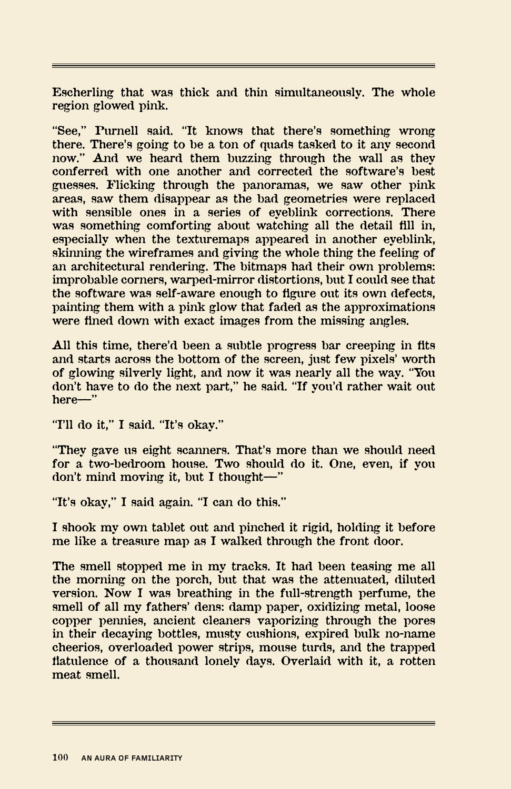Escherling that was thick and thin simultaneously. The whole region glowed pink.

"See," Purnell said. "It knows that there's something wrong there. There's going to be a ton of quads tasked to it any second now." And we heard them buzzing through the wall as they conferred with one another and corrected the software's best guesses. Flicking through the panoramas, we saw other pink areas, saw them disappear as the bad geometries were replaced with sensible ones in a series of eyeblink corrections. There was something comforting about watching all the detail fill in, especially when the texturemaps appeared in another eyeblink, skinning the wireframes and giving the whole thing the feeling of an architectural rendering. The bitmaps had their own problems: improbable corners, warped-mirror distortions, but I could see that the software was self-aware enough to figure out its own defects, painting them with a pink glow that faded as the approximations were fined down with exact images from the missing angles.

All this time, there'd been a subtle progress bar creeping in fits and starts across the bottom of the screen, just few pixels' worth of glowing silverly light, and now it was nearly all the way. "You don't have to do the next part," he said. "If you'd rather wait out here—"

"I'll do it," I said. "It's okay."

"They gave us eight scanners. That's more than we should need for a two-bedroom house. Two should do it. One, even, if you don't mind moving it, but I thought—"

"It's okay," I said again. "I can do this."

I shook my own tablet out and pinched it rigid, holding it before me like a treasure map as I walked through the front door.

The smell stopped me in my tracks. It had been teasing me all the morning on the porch, but that was the attenuated, diluted version. Now I was breathing in the full-strength perfume, the smell of all my fathers' dens: damp paper, oxidizing metal, loose copper pennies, ancient cleaners vaporizing through the pores in their decaying bottles, musty cushions, expired bulk no-name cheerios, overloaded power strips, mouse turds, and the trapped flatulence of a thousand lonely days. Overlaid with it, a rotten meat smell.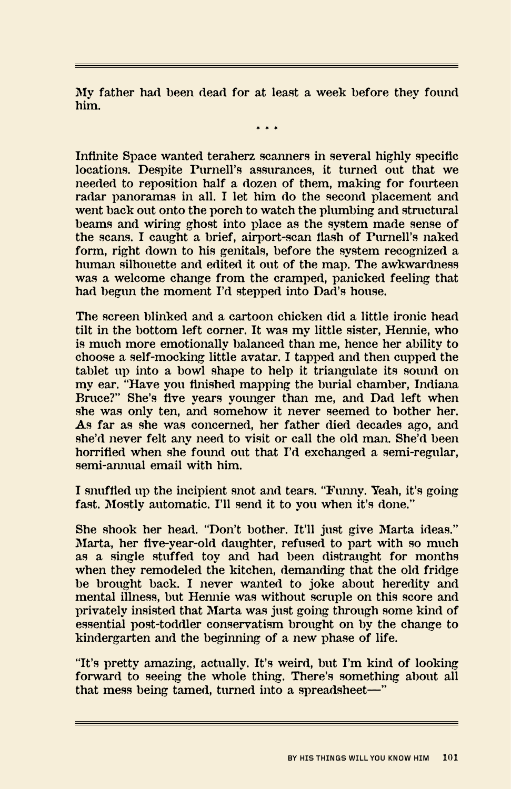My father had been dead for at least a week before they found him.

\* \* \*

Infinite Space wanted teraherz scanners in several highly specific locations. Despite Purnell's assurances, it turned out that we needed to reposition half a dozen of them, making for fourteen radar panoramas in all. I let him do the second placement and went back out onto the porch to watch the plumbing and structural beams and wiring ghost into place as the system made sense of the scans. I caught a brief, airport-scan flash of Purnell's naked form, right down to his genitals, before the system recognized a human silhouette and edited it out of the map. The awkwardness was a welcome change from the cramped, panicked feeling that had begun the moment I'd stepped into Dad's house.

The screen blinked and a cartoon chicken did a little ironic head tilt in the bottom left corner. It was my little sister, Hennie, who is much more emotionally balanced than me, hence her ability to choose a self-mocking little avatar. I tapped and then cupped the tablet up into a bowl shape to help it triangulate its sound on my ear. "Have you finished mapping the burial chamber, Indiana Bruce?" She's five years younger than me, and Dad left when she was only ten, and somehow it never seemed to bother her. As far as she was concerned, her father died decades ago, and she'd never felt any need to visit or call the old man. She'd been horrified when she found out that I'd exchanged a semi-regular, semi-annual email with him.

I snuffled up the incipient snot and tears. "Funny. Yeah, it's going fast. Mostly automatic. I'll send it to you when it's done."

She shook her head. "Don't bother. It'll just give Marta ideas." Marta, her five-year-old daughter, refused to part with so much as a single stuffed toy and had been distraught for months when they remodeled the kitchen, demanding that the old fridge be brought back. I never wanted to joke about heredity and mental illness, but Hennie was without scruple on this score and privately insisted that Marta was just going through some kind of essential post-toddler conservatism brought on by the change to kindergarten and the beginning of a new phase of life.

"It's pretty amazing, actually. It's weird, but I'm kind of looking forward to seeing the whole thing. There's something about all that mess being tamed, turned into a spreadsheet—"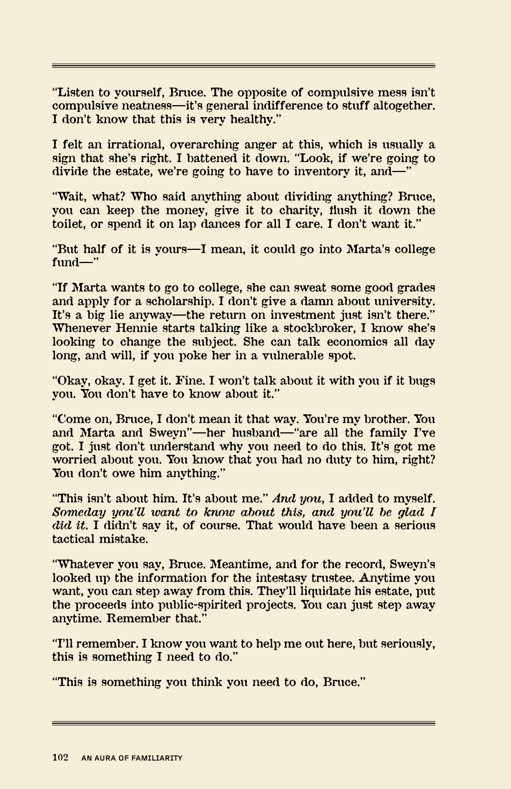"Listen to yourself, Bruce. The opposite of compulsive mess isn't compulsive neatness—it's general indifference to stuff altogether. I don't know that this is very healthy."

I felt an irrational, overarching anger at this, which is usually a sign that she's right. I battened it down. "Look, if we're going to divide the estate, we're going to have to inventory it, and—"

"Wait, what? Who said anything about dividing anything? Bruce, you can keep the money, give it to charity, flush it down the toilet, or spend it on lap dances for all I care. I don't want it."

"But half of it is yours—I mean, it could go into Marta's college fund—"

"If Marta wants to go to college, she can sweat some good grades and apply for a scholarship. I don't give a damn about university. It's a big lie anyway—the return on investment just isn't there." Whenever Hennie starts talking like a stockbroker, I know she's looking to change the subject. She can talk economics all day long, and will, if you poke her in a vulnerable spot.

"Okay, okay. I get it. Fine. I won't talk about it with you if it bugs you. You don't have to know about it."

"Come on, Bruce, I don't mean it that way. You're my brother. You and Marta and Sweyn"—her husband—"are all the family I've got. I just don't understand why you need to do this. It's got me worried about you. You know that you had no duty to him, right? You don't owe him anything."

"This isn't about him. It's about me." *And you*, I added to myself. *Someday you'll want to know about this, and you'll be glad I did it*. I didn't say it, of course. That would have been a serious tactical mistake.

"Whatever you say, Bruce. Meantime, and for the record, Sweyn's looked up the information for the intestasy trustee. Anytime you want, you can step away from this. They'll liquidate his estate, put the proceeds into public-spirited projects. You can just step away anytime. Remember that."

"I'll remember. I know you want to help me out here, but seriously, this is something I need to do."

"This is something you think you need to do, Bruce."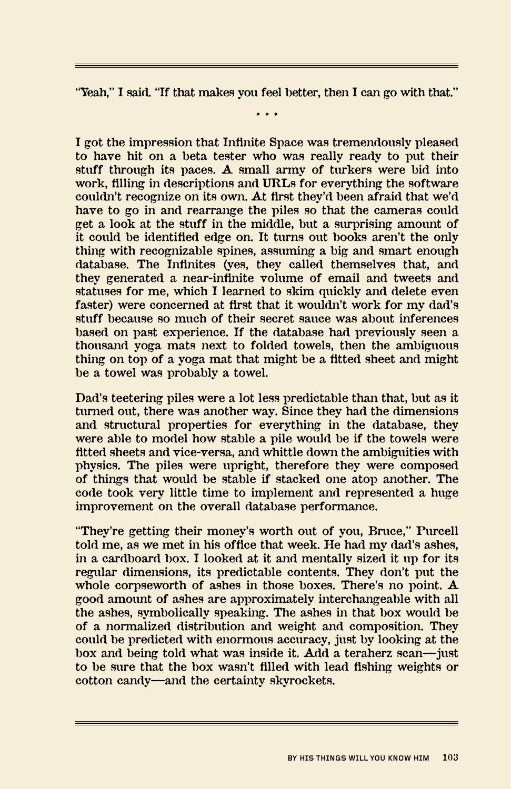"Yeah," I said. "If that makes you feel better, then I can go with that."

\* \* \*

I got the impression that Infinite Space was tremendously pleased to have hit on a beta tester who was really ready to put their stuff through its paces. A small army of turkers were bid into work, filling in descriptions and URLs for everything the software couldn't recognize on its own. At first they'd been afraid that we'd have to go in and rearrange the piles so that the cameras could get a look at the stuff in the middle, but a surprising amount of it could be identified edge on. It turns out books aren't the only thing with recognizable spines, assuming a big and smart enough database. The Infinites (yes, they called themselves that, and they generated a near-infinite volume of email and tweets and statuses for me, which I learned to skim quickly and delete even faster) were concerned at first that it wouldn't work for my dad's stuff because so much of their secret sauce was about inferences based on past experience. If the database had previously seen a thousand yoga mats next to folded towels, then the ambiguous thing on top of a yoga mat that might be a fitted sheet and might be a towel was probably a towel.

Dad's teetering piles were a lot less predictable than that, but as it turned out, there was another way. Since they had the dimensions and structural properties for everything in the database, they were able to model how stable a pile would be if the towels were fitted sheets and vice-versa, and whittle down the ambiguities with physics. The piles were upright, therefore they were composed of things that would be stable if stacked one atop another. The code took very little time to implement and represented a huge improvement on the overall database performance.

"They're getting their money's worth out of you, Bruce," Purcell told me, as we met in his office that week. He had my dad's ashes, in a cardboard box. I looked at it and mentally sized it up for its regular dimensions, its predictable contents. They don't put the whole corpseworth of ashes in those boxes. There's no point. A good amount of ashes are approximately interchangeable with all the ashes, symbolically speaking. The ashes in that box would be of a normalized distribution and weight and composition. They could be predicted with enormous accuracy, just by looking at the box and being told what was inside it. Add a teraherz scan—just to be sure that the box wasn't filled with lead fishing weights or cotton candy—and the certainty skyrockets.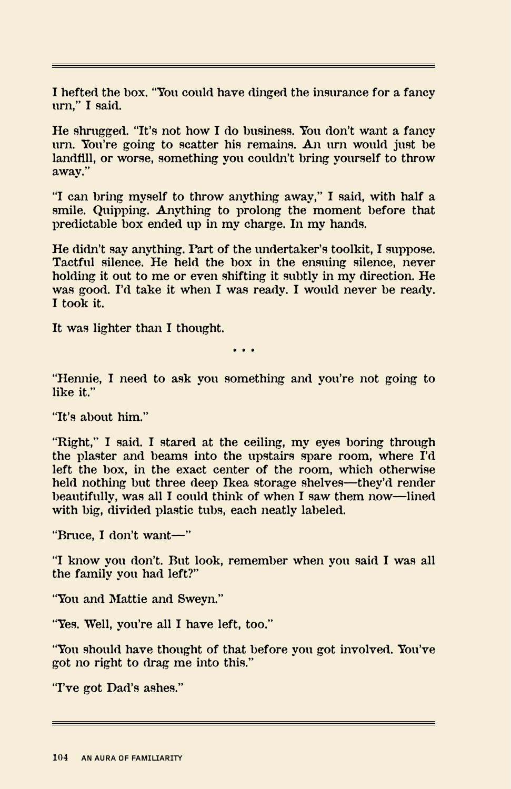I hefted the box. "You could have dinged the insurance for a fancy urn," I said.

He shrugged. "It's not how I do business. You don't want a fancy urn. You're going to scatter his remains. An urn would just be landfill, or worse, something you couldn't bring yourself to throw away."

"I can bring myself to throw anything away," I said, with half a smile. Quipping. Anything to prolong the moment before that predictable box ended up in my charge. In my hands.

He didn't say anything. Part of the undertaker's toolkit, I suppose. Tactful silence. He held the box in the ensuing silence, never holding it out to me or even shifting it subtly in my direction. He was good. I'd take it when I was ready. I would never be ready. I took it.

It was lighter than I thought.

\* \* \*

"Hennie, I need to ask you something and you're not going to like it."

"It's about him."

"Right," I said. I stared at the ceiling, my eyes boring through the plaster and beams into the upstairs spare room, where I'd left the box, in the exact center of the room, which otherwise held nothing but three deep Ikea storage shelves—they'd render beautifully, was all I could think of when I saw them now—lined with big, divided plastic tubs, each neatly labeled.

"Bruce, I don't want—"

"I know you don't. But look, remember when you said I was all the family you had left?"

"You and Mattie and Sweyn."

"Yes. Well, you're all I have left, too."

"You should have thought of that before you got involved. You've got no right to drag me into this."

"I've got Dad's ashes."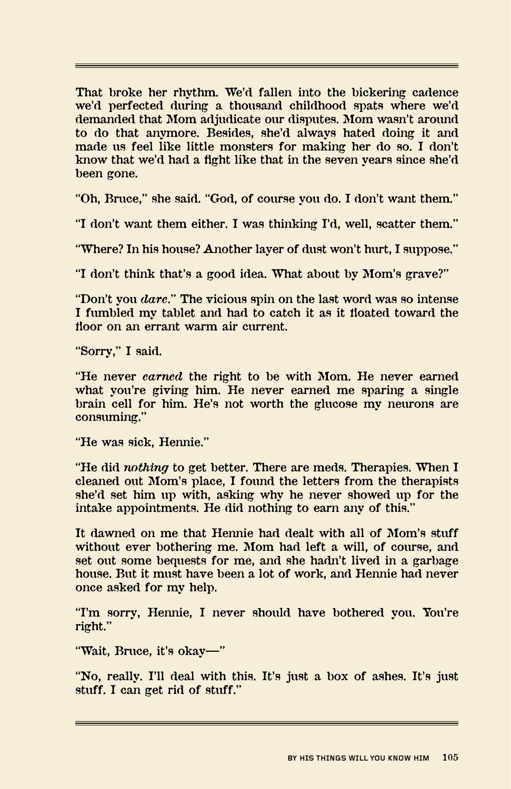That broke her rhythm. We'd fallen into the bickering cadence we'd perfected during a thousand childhood spats where we'd demanded that Mom adjudicate our disputes. Mom wasn't around to do that anymore. Besides, she'd always hated doing it and made us feel like little monsters for making her do so. I don't know that we'd had a fight like that in the seven years since she'd been gone.

"Oh, Bruce," she said. "God, of course you do. I don't want them."

"I don't want them either. I was thinking I'd, well, scatter them."

"Where? In his house? Another layer of dust won't hurt, I suppose."

"I don't think that's a good idea. What about by Mom's grave?"

"Don't you *dare*." The vicious spin on the last word was so intense I fumbled my tablet and had to catch it as it floated toward the floor on an errant warm air current.

"Sorry," I said.

"He never *earned* the right to be with Mom. He never earned what you're giving him. He never earned me sparing a single brain cell for him. He's not worth the glucose my neurons are consuming."

"He was sick, Hennie."

"He did *nothing* to get better. There are meds. Therapies. When I cleaned out Mom's place, I found the letters from the therapists she'd set him up with, asking why he never showed up for the intake appointments. He did nothing to earn any of this."

It dawned on me that Hennie had dealt with all of Mom's stuff without ever bothering me. Mom had left a will, of course, and set out some bequests for me, and she hadn't lived in a garbage house. But it must have been a lot of work, and Hennie had never once asked for my help.

"I'm sorry, Hennie, I never should have bothered you. You're right."

"Wait, Bruce, it's okay—"

"No, really. I'll deal with this. It's just a box of ashes. It's just stuff. I can get rid of stuff."